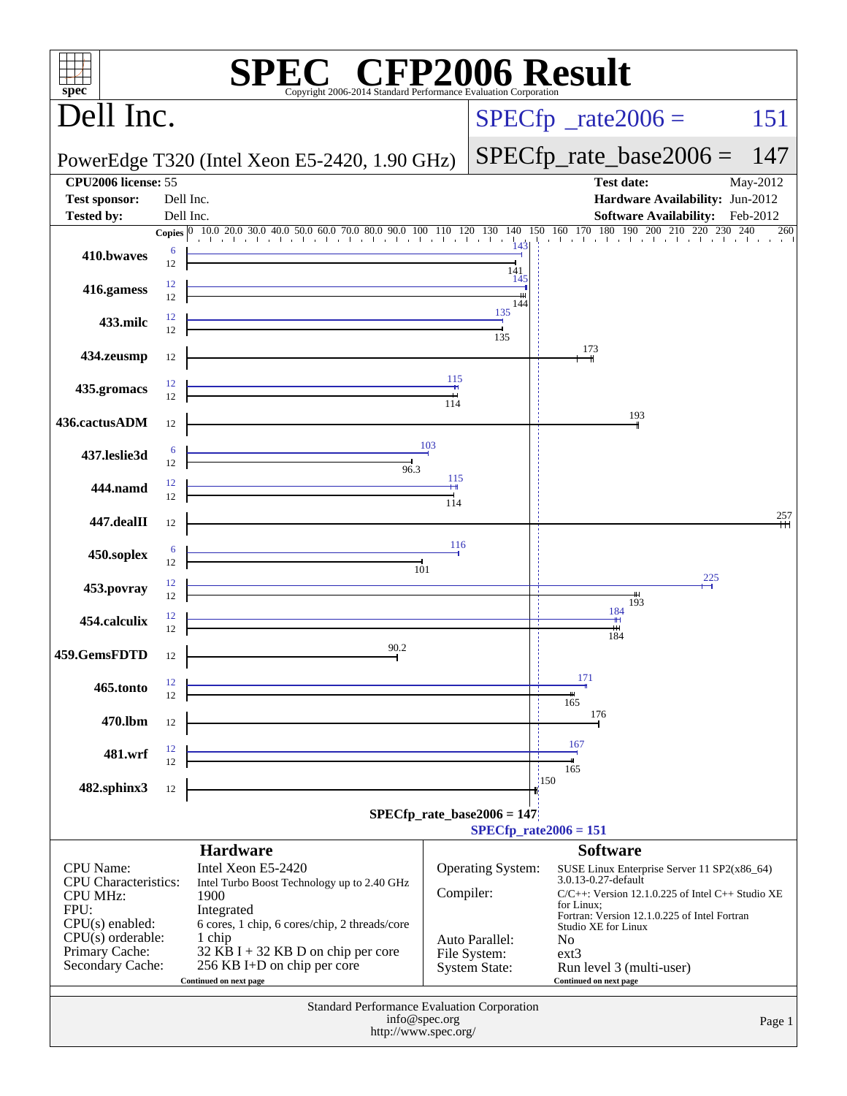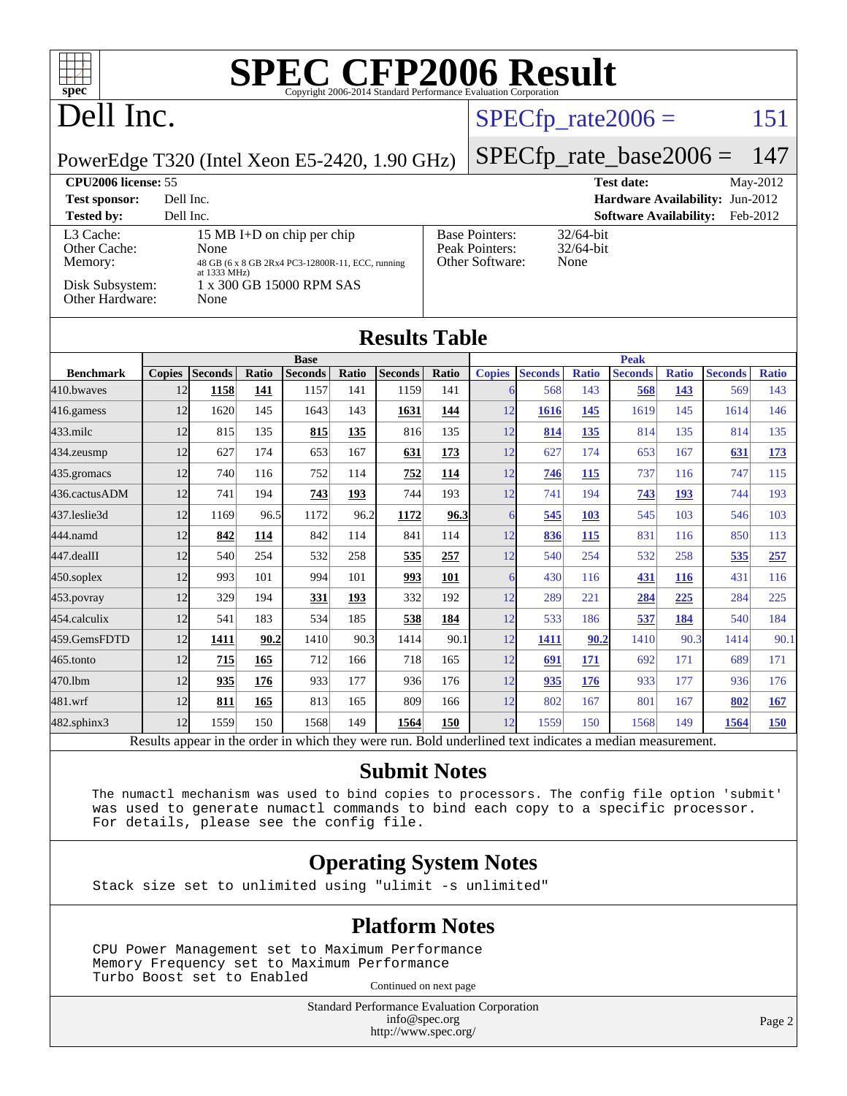## Dell Inc.

#### $SPECTp_rate2006 = 151$

PowerEdge T320 (Intel Xeon E5-2420, 1.90 GHz)

## [SPECfp\\_rate\\_base2006 =](http://www.spec.org/auto/cpu2006/Docs/result-fields.html#SPECfpratebase2006) 147

| CPU <sub>2006</sub> license: 55                                            |                                                                                                                                            |                                                            | May-2012<br><b>Test date:</b>             |
|----------------------------------------------------------------------------|--------------------------------------------------------------------------------------------------------------------------------------------|------------------------------------------------------------|-------------------------------------------|
| <b>Test sponsor:</b>                                                       | Dell Inc.                                                                                                                                  |                                                            | <b>Hardware Availability: Jun-2012</b>    |
| <b>Tested by:</b>                                                          | Dell Inc.                                                                                                                                  |                                                            | <b>Software Availability:</b><br>Feb-2012 |
| L3 Cache:<br>Other Cache:<br>Memory:<br>Disk Subsystem:<br>Other Hardware: | 15 MB I+D on chip per chip<br>None<br>48 GB (6 x 8 GB 2Rx4 PC3-12800R-11, ECC, running<br>at 1333 MHz)<br>1 x 300 GB 15000 RPM SAS<br>None | <b>Base Pointers:</b><br>Peak Pointers:<br>Other Software: | $32/64$ -bit<br>$32/64$ -bit<br>None      |

| <b>Results Table</b>                                                                                                             |               |                |       |                |       |                |       |               |                |              |                |              |                |              |
|----------------------------------------------------------------------------------------------------------------------------------|---------------|----------------|-------|----------------|-------|----------------|-------|---------------|----------------|--------------|----------------|--------------|----------------|--------------|
|                                                                                                                                  | <b>Base</b>   |                |       |                |       | <b>Peak</b>    |       |               |                |              |                |              |                |              |
| <b>Benchmark</b>                                                                                                                 | <b>Copies</b> | <b>Seconds</b> | Ratio | <b>Seconds</b> | Ratio | <b>Seconds</b> | Ratio | <b>Copies</b> | <b>Seconds</b> | <b>Ratio</b> | <b>Seconds</b> | <b>Ratio</b> | <b>Seconds</b> | <b>Ratio</b> |
| 410.bwaves                                                                                                                       | 12            | 1158           | 141   | 1157           | 141   | 1159           | 141   | 6             | 568            | 143          | 568            | 143          | 569            | 143          |
| $416$ .gamess                                                                                                                    | 12            | 1620           | 145   | 1643           | 143   | 1631           | 144   | 12            | 1616           | 145          | 1619           | 145          | 1614           | 146          |
| $433$ .milc                                                                                                                      | 12            | 815            | 135   | 815            | 135   | 816            | 135   | 12            | 814            | 135          | 814            | 135          | 814            | 135          |
| 434.zeusmp                                                                                                                       | 12            | 627            | 174   | 653            | 167   | 631            | 173   | 12            | 627            | 174          | 653            | 167          | 631            | <b>173</b>   |
| 435.gromacs                                                                                                                      | 12            | 740            | 116   | 752            | 114   | 752            | 114   | 12            | 746            | 115          | 737            | 116          | 747            | 115          |
| 436.cactusADM                                                                                                                    | 12            | 741            | 194   | 743            | 193   | 744            | 193   | 12            | 741            | 194          | 743            | 193          | 744            | 193          |
| 437.leslie3d                                                                                                                     | 12            | 1169           | 96.5  | 1172           | 96.2  | 1172           | 96.3  | 6             | 545            | 103          | 545            | 103          | 546            | 103          |
| 444.namd                                                                                                                         | 12            | 842            | 114   | 842            | 114   | 841            | 114   | 12            | 836            | 115          | 831            | 116          | 850            | 113          |
| 447.dealII                                                                                                                       | 12            | 540            | 254   | 532            | 258   | 535            | 257   | 12            | 540            | 254          | 532            | 258          | 535            | 257          |
| $450$ .soplex                                                                                                                    | 12            | 993            | 101   | 994            | 101   | 993            | 101   | 6             | 430            | 116          | 431            | 116          | 431            | 116          |
| 453.povray                                                                                                                       | 12            | 329            | 194   | 331            | 193   | 332            | 192   | 12            | 289            | 221          | 284            | 225          | 284            | 225          |
| 454.calculix                                                                                                                     | 12            | 541            | 183   | 534            | 185   | 538            | 184   | 12            | 533            | 186          | 537            | 184          | 540            | 184          |
| 459.GemsFDTD                                                                                                                     | 12            | 1411           | 90.2  | 1410           | 90.3  | 1414           | 90.1  | 12            | 1411           | 90.2         | 1410           | 90.3         | 1414           | 90.1         |
| $465$ .tonto                                                                                                                     | 12            | 715            | 165   | 712            | 166   | 718            | 165   | 12            | 691            | 171          | 692            | 171          | 689            | 171          |
| 470.1bm                                                                                                                          | 12            | 935            | 176   | 933            | 177   | 936            | 176   | 12            | 935            | 176          | 933            | 177          | 936            | 176          |
| 481.wrf                                                                                                                          | 12            | 811            | 165   | 813            | 165   | 809            | 166   | 12            | 802            | 167          | 801            | 167          | 802            | 167          |
| 482.sphinx3                                                                                                                      | 12            | 1559           | 150   | 1568           | 149   | 1564           | 150   | 12            | 1559           | 150          | 1568           | 149          | 1564           | <b>150</b>   |
| 1, 2, 1, 31<br><b>Controlled Advised Street</b><br>1.11<br>$\mathbf{D}$ .<br>$\mathbf{D}$ $\cdot$ 1.1<br>$\mathbf{1}$ .<br>$-11$ |               |                |       |                |       |                |       |               |                |              |                |              |                |              |

Results appear in the [order in which they were run.](http://www.spec.org/auto/cpu2006/Docs/result-fields.html#RunOrder) Bold underlined text [indicates a median measurement.](http://www.spec.org/auto/cpu2006/Docs/result-fields.html#Median)

#### **[Submit Notes](http://www.spec.org/auto/cpu2006/Docs/result-fields.html#SubmitNotes)**

 The numactl mechanism was used to bind copies to processors. The config file option 'submit' was used to generate numactl commands to bind each copy to a specific processor. For details, please see the config file.

#### **[Operating System Notes](http://www.spec.org/auto/cpu2006/Docs/result-fields.html#OperatingSystemNotes)**

Stack size set to unlimited using "ulimit -s unlimited"

#### **[Platform Notes](http://www.spec.org/auto/cpu2006/Docs/result-fields.html#PlatformNotes)**

 CPU Power Management set to Maximum Performance Memory Frequency set to Maximum Performance Turbo Boost set to Enabled Continued on next page

> Standard Performance Evaluation Corporation [info@spec.org](mailto:info@spec.org) <http://www.spec.org/>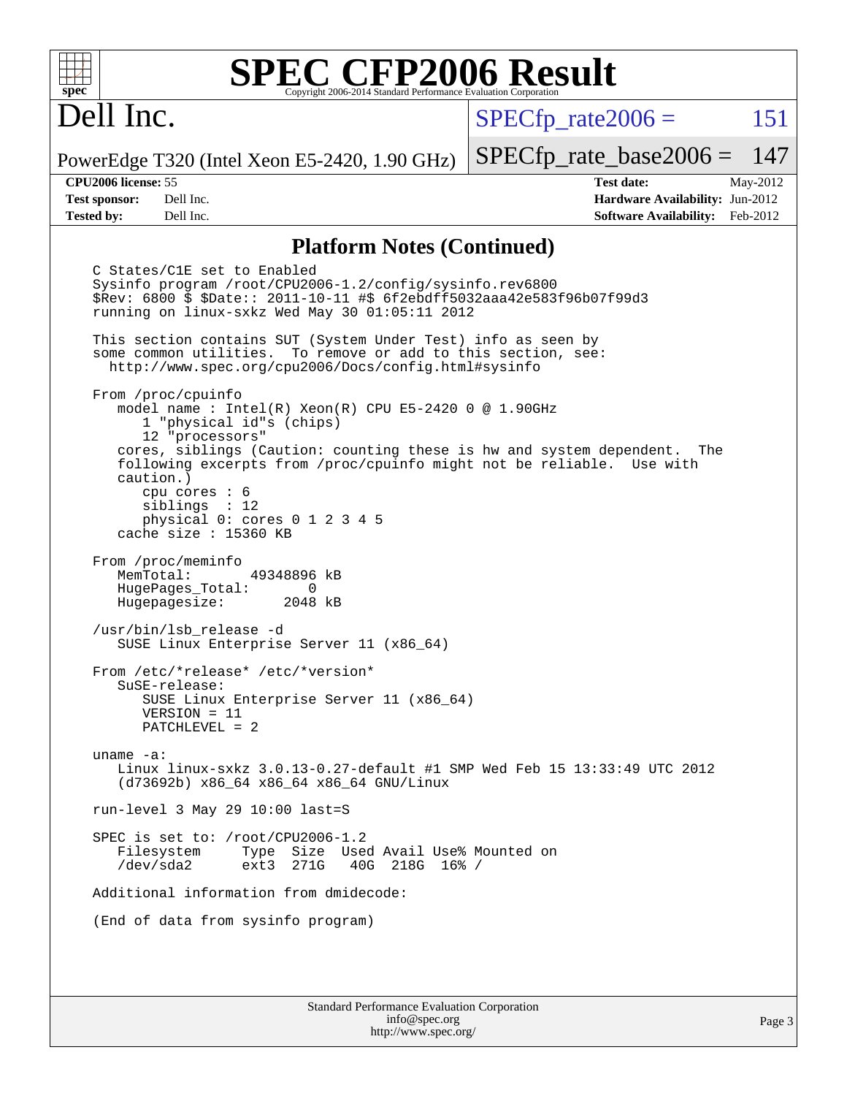## Dell Inc.

 $SPECTp\_rate2006 = 151$ 

PowerEdge T320 (Intel Xeon E5-2420, 1.90 GHz)

[SPECfp\\_rate\\_base2006 =](http://www.spec.org/auto/cpu2006/Docs/result-fields.html#SPECfpratebase2006) 147 **[CPU2006 license:](http://www.spec.org/auto/cpu2006/Docs/result-fields.html#CPU2006license)** 55 **[Test date:](http://www.spec.org/auto/cpu2006/Docs/result-fields.html#Testdate)** May-2012

**[Test sponsor:](http://www.spec.org/auto/cpu2006/Docs/result-fields.html#Testsponsor)** Dell Inc. **[Hardware Availability:](http://www.spec.org/auto/cpu2006/Docs/result-fields.html#HardwareAvailability)** Jun-2012 **[Tested by:](http://www.spec.org/auto/cpu2006/Docs/result-fields.html#Testedby)** Dell Inc. **[Software Availability:](http://www.spec.org/auto/cpu2006/Docs/result-fields.html#SoftwareAvailability)** Feb-2012

#### **[Platform Notes \(Continued\)](http://www.spec.org/auto/cpu2006/Docs/result-fields.html#PlatformNotes)**

 C States/C1E set to Enabled Sysinfo program /root/CPU2006-1.2/config/sysinfo.rev6800 \$Rev: 6800 \$ \$Date:: 2011-10-11 #\$ 6f2ebdff5032aaa42e583f96b07f99d3 running on linux-sxkz Wed May 30 01:05:11 2012 This section contains SUT (System Under Test) info as seen by some common utilities. To remove or add to this section, see: <http://www.spec.org/cpu2006/Docs/config.html#sysinfo> From /proc/cpuinfo model name : Intel(R) Xeon(R) CPU E5-2420 0 @ 1.90GHz 1 "physical id"s (chips) 12 "processors" cores, siblings (Caution: counting these is hw and system dependent. The following excerpts from /proc/cpuinfo might not be reliable. Use with caution.) cpu cores : 6 siblings : 12 physical 0: cores 0 1 2 3 4 5 cache size : 15360 KB From /proc/meminfo MemTotal: 49348896 kB HugePages\_Total: 0<br>Hugepagesize: 2048 kB Hugepagesize: /usr/bin/lsb\_release -d SUSE Linux Enterprise Server 11 (x86\_64) From /etc/\*release\* /etc/\*version\* SuSE-release: SUSE Linux Enterprise Server 11 (x86\_64) VERSION = 11 PATCHLEVEL = 2 uname -a: Linux linux-sxkz 3.0.13-0.27-default #1 SMP Wed Feb 15 13:33:49 UTC 2012 (d73692b) x86\_64 x86\_64 x86\_64 GNU/Linux run-level 3 May 29 10:00 last=S SPEC is set to: /root/CPU2006-1.2 Filesystem Type Size Used Avail Use% Mounted on<br>
/dev/sda2 ext3 271G 40G 218G 16% / 40G 218G 16% / Additional information from dmidecode: (End of data from sysinfo program)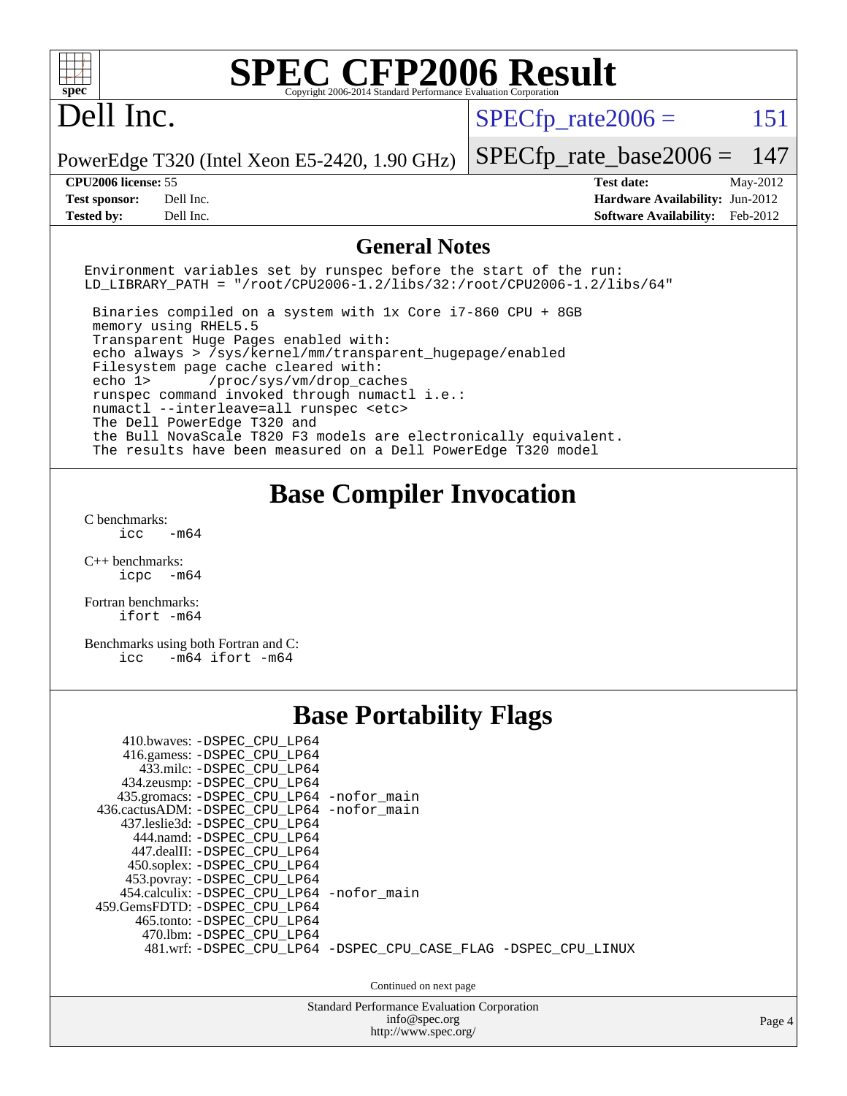| spec <sup>®</sup>                                                                                                                                                                                                                                                                                                                                                                                                                                                                                                                              | <b>SPEC CFP2006 Result</b><br>Copyright 2006-2014 Standard Performance Evaluation Corporation                             |
|------------------------------------------------------------------------------------------------------------------------------------------------------------------------------------------------------------------------------------------------------------------------------------------------------------------------------------------------------------------------------------------------------------------------------------------------------------------------------------------------------------------------------------------------|---------------------------------------------------------------------------------------------------------------------------|
| Dell Inc.                                                                                                                                                                                                                                                                                                                                                                                                                                                                                                                                      | 151<br>$SPECfp\_rate2006 =$                                                                                               |
| PowerEdge T320 (Intel Xeon E5-2420, 1.90 GHz)                                                                                                                                                                                                                                                                                                                                                                                                                                                                                                  | $SPECfp\_rate\_base2006 =$<br>147                                                                                         |
| <b>CPU2006</b> license: 55                                                                                                                                                                                                                                                                                                                                                                                                                                                                                                                     | <b>Test date:</b><br>May-2012                                                                                             |
| Dell Inc.<br><b>Test sponsor:</b>                                                                                                                                                                                                                                                                                                                                                                                                                                                                                                              | Hardware Availability: Jun-2012                                                                                           |
| <b>Tested by:</b><br>Dell Inc.                                                                                                                                                                                                                                                                                                                                                                                                                                                                                                                 | <b>Software Availability:</b><br>Feb-2012                                                                                 |
|                                                                                                                                                                                                                                                                                                                                                                                                                                                                                                                                                | <b>General Notes</b>                                                                                                      |
| Environment variables set by runspec before the start of the run:                                                                                                                                                                                                                                                                                                                                                                                                                                                                              | LD_LIBRARY_PATH = "/root/CPU2006-1.2/libs/32:/root/CPU2006-1.2/libs/64"                                                   |
| Binaries compiled on a system with 1x Core i7-860 CPU + 8GB<br>memory using RHEL5.5<br>Transparent Huge Pages enabled with:<br>echo always > /sys/kernel/mm/transparent_hugepage/enabled<br>Filesystem page cache cleared with:<br>echo 1><br>/proc/sys/vm/drop_caches<br>runspec command invoked through numactl i.e.:<br>numactl --interleave=all runspec <etc><br/>The Dell PowerEdge T320 and<br/>the Bull NovaScale T820 F3 models are electronically equivalent.<br/>The results have been measured on a Dell PowerEdge T320 model</etc> |                                                                                                                           |
| C benchmarks:<br>icc<br>$-m64$<br>$C++$ benchmarks:<br>icpc -m64<br>Fortran benchmarks:<br>ifort -m64<br>Benchmarks using both Fortran and C:<br>icc -m64 ifort -m64                                                                                                                                                                                                                                                                                                                                                                           | <b>Base Compiler Invocation</b>                                                                                           |
| 410.bwaves: -DSPEC_CPU_LP64<br>416.gamess: -DSPEC_CPU_LP64<br>433.milc: -DSPEC_CPU_LP64<br>434.zeusmp: - DSPEC CPU LP64<br>435.gromacs: -DSPEC_CPU_LP64 -nofor_main<br>436.cactusADM: -DSPEC_CPU_LP64 -nofor_main<br>437.leslie3d: -DSPEC_CPU_LP64<br>444.namd: - DSPEC_CPU_LP64<br>447.dealII: -DSPEC_CPU_LP64<br>450.soplex: -DSPEC_CPU_LP64<br>453.povray: - DSPEC_CPU_LP64<br>454.calculix: -DSPEC_CPU_LP64 -nofor_main<br>459.GemsFDTD: - DSPEC_CPU_LP64<br>465.tonto: -DSPEC_CPU_LP64<br>470.1bm: -DSPEC_CPU_LP64                        | <b>Base Portability Flags</b><br>481.wrf: -DSPEC_CPU_LP64 -DSPEC_CPU_CASE_FLAG -DSPEC_CPU_LINUX<br>Continued on next page |
|                                                                                                                                                                                                                                                                                                                                                                                                                                                                                                                                                | Standard Performance Evaluation Corporation                                                                               |
|                                                                                                                                                                                                                                                                                                                                                                                                                                                                                                                                                | info@spec.org<br>Page 4                                                                                                   |
|                                                                                                                                                                                                                                                                                                                                                                                                                                                                                                                                                | http://www.spec.org/                                                                                                      |
|                                                                                                                                                                                                                                                                                                                                                                                                                                                                                                                                                |                                                                                                                           |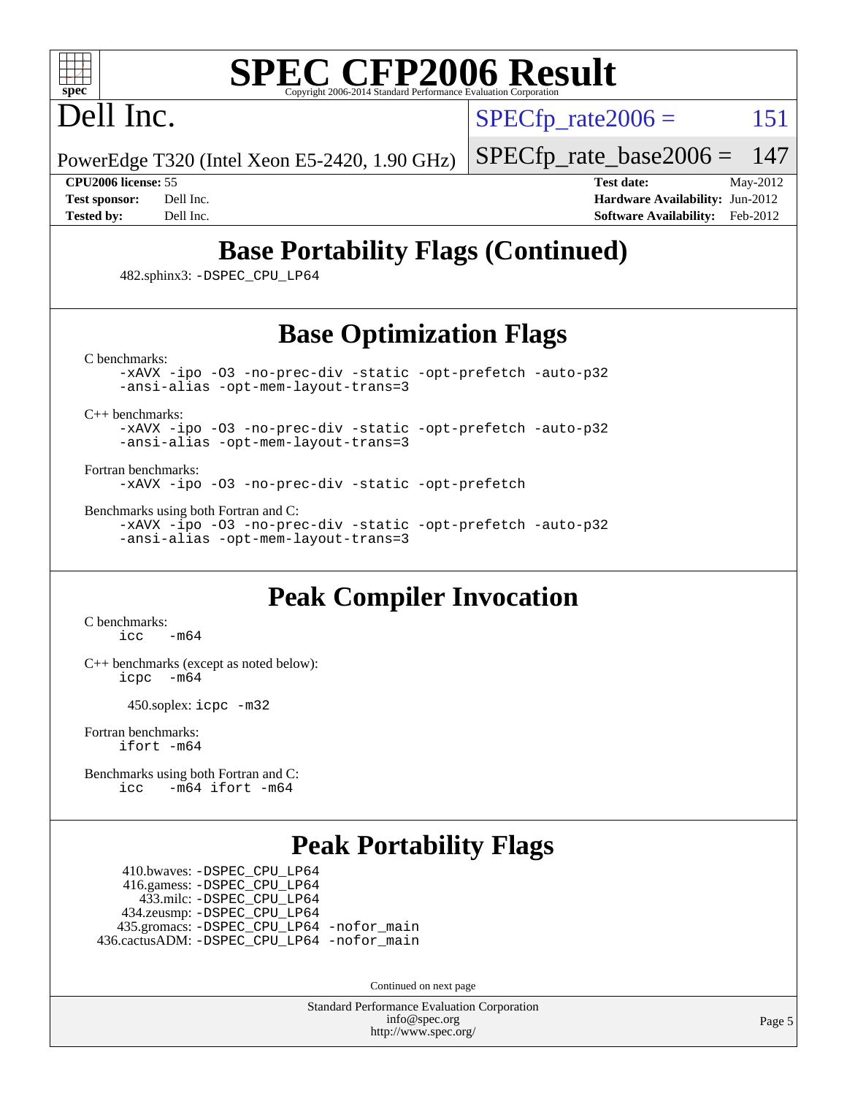

## Dell Inc.

 $SPECTp\_rate2006 = 151$ 

PowerEdge T320 (Intel Xeon E5-2420, 1.90 GHz)

[SPECfp\\_rate\\_base2006 =](http://www.spec.org/auto/cpu2006/Docs/result-fields.html#SPECfpratebase2006) 147

**[CPU2006 license:](http://www.spec.org/auto/cpu2006/Docs/result-fields.html#CPU2006license)** 55 **[Test date:](http://www.spec.org/auto/cpu2006/Docs/result-fields.html#Testdate)** May-2012 **[Test sponsor:](http://www.spec.org/auto/cpu2006/Docs/result-fields.html#Testsponsor)** Dell Inc. **[Hardware Availability:](http://www.spec.org/auto/cpu2006/Docs/result-fields.html#HardwareAvailability)** Jun-2012 **[Tested by:](http://www.spec.org/auto/cpu2006/Docs/result-fields.html#Testedby)** Dell Inc. **[Software Availability:](http://www.spec.org/auto/cpu2006/Docs/result-fields.html#SoftwareAvailability)** Feb-2012

## **[Base Portability Flags \(Continued\)](http://www.spec.org/auto/cpu2006/Docs/result-fields.html#BasePortabilityFlags)**

482.sphinx3: [-DSPEC\\_CPU\\_LP64](http://www.spec.org/cpu2006/results/res2012q3/cpu2006-20120703-23472.flags.html#suite_basePORTABILITY482_sphinx3_DSPEC_CPU_LP64)

### **[Base Optimization Flags](http://www.spec.org/auto/cpu2006/Docs/result-fields.html#BaseOptimizationFlags)**

[C benchmarks](http://www.spec.org/auto/cpu2006/Docs/result-fields.html#Cbenchmarks):

[-xAVX](http://www.spec.org/cpu2006/results/res2012q3/cpu2006-20120703-23472.flags.html#user_CCbase_f-xAVX) [-ipo](http://www.spec.org/cpu2006/results/res2012q3/cpu2006-20120703-23472.flags.html#user_CCbase_f-ipo) [-O3](http://www.spec.org/cpu2006/results/res2012q3/cpu2006-20120703-23472.flags.html#user_CCbase_f-O3) [-no-prec-div](http://www.spec.org/cpu2006/results/res2012q3/cpu2006-20120703-23472.flags.html#user_CCbase_f-no-prec-div) [-static](http://www.spec.org/cpu2006/results/res2012q3/cpu2006-20120703-23472.flags.html#user_CCbase_f-static) [-opt-prefetch](http://www.spec.org/cpu2006/results/res2012q3/cpu2006-20120703-23472.flags.html#user_CCbase_f-opt-prefetch) [-auto-p32](http://www.spec.org/cpu2006/results/res2012q3/cpu2006-20120703-23472.flags.html#user_CCbase_f-auto-p32) [-ansi-alias](http://www.spec.org/cpu2006/results/res2012q3/cpu2006-20120703-23472.flags.html#user_CCbase_f-ansi-alias) [-opt-mem-layout-trans=3](http://www.spec.org/cpu2006/results/res2012q3/cpu2006-20120703-23472.flags.html#user_CCbase_f-opt-mem-layout-trans_a7b82ad4bd7abf52556d4961a2ae94d5)

[C++ benchmarks:](http://www.spec.org/auto/cpu2006/Docs/result-fields.html#CXXbenchmarks)

[-xAVX](http://www.spec.org/cpu2006/results/res2012q3/cpu2006-20120703-23472.flags.html#user_CXXbase_f-xAVX) [-ipo](http://www.spec.org/cpu2006/results/res2012q3/cpu2006-20120703-23472.flags.html#user_CXXbase_f-ipo) [-O3](http://www.spec.org/cpu2006/results/res2012q3/cpu2006-20120703-23472.flags.html#user_CXXbase_f-O3) [-no-prec-div](http://www.spec.org/cpu2006/results/res2012q3/cpu2006-20120703-23472.flags.html#user_CXXbase_f-no-prec-div) [-static](http://www.spec.org/cpu2006/results/res2012q3/cpu2006-20120703-23472.flags.html#user_CXXbase_f-static) [-opt-prefetch](http://www.spec.org/cpu2006/results/res2012q3/cpu2006-20120703-23472.flags.html#user_CXXbase_f-opt-prefetch) [-auto-p32](http://www.spec.org/cpu2006/results/res2012q3/cpu2006-20120703-23472.flags.html#user_CXXbase_f-auto-p32) [-ansi-alias](http://www.spec.org/cpu2006/results/res2012q3/cpu2006-20120703-23472.flags.html#user_CXXbase_f-ansi-alias) [-opt-mem-layout-trans=3](http://www.spec.org/cpu2006/results/res2012q3/cpu2006-20120703-23472.flags.html#user_CXXbase_f-opt-mem-layout-trans_a7b82ad4bd7abf52556d4961a2ae94d5)

[Fortran benchmarks](http://www.spec.org/auto/cpu2006/Docs/result-fields.html#Fortranbenchmarks):

[-xAVX](http://www.spec.org/cpu2006/results/res2012q3/cpu2006-20120703-23472.flags.html#user_FCbase_f-xAVX) [-ipo](http://www.spec.org/cpu2006/results/res2012q3/cpu2006-20120703-23472.flags.html#user_FCbase_f-ipo) [-O3](http://www.spec.org/cpu2006/results/res2012q3/cpu2006-20120703-23472.flags.html#user_FCbase_f-O3) [-no-prec-div](http://www.spec.org/cpu2006/results/res2012q3/cpu2006-20120703-23472.flags.html#user_FCbase_f-no-prec-div) [-static](http://www.spec.org/cpu2006/results/res2012q3/cpu2006-20120703-23472.flags.html#user_FCbase_f-static) [-opt-prefetch](http://www.spec.org/cpu2006/results/res2012q3/cpu2006-20120703-23472.flags.html#user_FCbase_f-opt-prefetch)

[Benchmarks using both Fortran and C](http://www.spec.org/auto/cpu2006/Docs/result-fields.html#BenchmarksusingbothFortranandC):

[-xAVX](http://www.spec.org/cpu2006/results/res2012q3/cpu2006-20120703-23472.flags.html#user_CC_FCbase_f-xAVX) [-ipo](http://www.spec.org/cpu2006/results/res2012q3/cpu2006-20120703-23472.flags.html#user_CC_FCbase_f-ipo) [-O3](http://www.spec.org/cpu2006/results/res2012q3/cpu2006-20120703-23472.flags.html#user_CC_FCbase_f-O3) [-no-prec-div](http://www.spec.org/cpu2006/results/res2012q3/cpu2006-20120703-23472.flags.html#user_CC_FCbase_f-no-prec-div) [-static](http://www.spec.org/cpu2006/results/res2012q3/cpu2006-20120703-23472.flags.html#user_CC_FCbase_f-static) [-opt-prefetch](http://www.spec.org/cpu2006/results/res2012q3/cpu2006-20120703-23472.flags.html#user_CC_FCbase_f-opt-prefetch) [-auto-p32](http://www.spec.org/cpu2006/results/res2012q3/cpu2006-20120703-23472.flags.html#user_CC_FCbase_f-auto-p32) [-ansi-alias](http://www.spec.org/cpu2006/results/res2012q3/cpu2006-20120703-23472.flags.html#user_CC_FCbase_f-ansi-alias) [-opt-mem-layout-trans=3](http://www.spec.org/cpu2006/results/res2012q3/cpu2006-20120703-23472.flags.html#user_CC_FCbase_f-opt-mem-layout-trans_a7b82ad4bd7abf52556d4961a2ae94d5)

#### **[Peak Compiler Invocation](http://www.spec.org/auto/cpu2006/Docs/result-fields.html#PeakCompilerInvocation)**

[C benchmarks](http://www.spec.org/auto/cpu2006/Docs/result-fields.html#Cbenchmarks):  $\text{icc}$   $-\text{m64}$ 

[C++ benchmarks \(except as noted below\):](http://www.spec.org/auto/cpu2006/Docs/result-fields.html#CXXbenchmarksexceptasnotedbelow) [icpc -m64](http://www.spec.org/cpu2006/results/res2012q3/cpu2006-20120703-23472.flags.html#user_CXXpeak_intel_icpc_64bit_bedb90c1146cab66620883ef4f41a67e)

450.soplex: [icpc -m32](http://www.spec.org/cpu2006/results/res2012q3/cpu2006-20120703-23472.flags.html#user_peakCXXLD450_soplex_intel_icpc_4e5a5ef1a53fd332b3c49e69c3330699)

[Fortran benchmarks](http://www.spec.org/auto/cpu2006/Docs/result-fields.html#Fortranbenchmarks): [ifort -m64](http://www.spec.org/cpu2006/results/res2012q3/cpu2006-20120703-23472.flags.html#user_FCpeak_intel_ifort_64bit_ee9d0fb25645d0210d97eb0527dcc06e)

[Benchmarks using both Fortran and C](http://www.spec.org/auto/cpu2006/Docs/result-fields.html#BenchmarksusingbothFortranandC): [icc -m64](http://www.spec.org/cpu2006/results/res2012q3/cpu2006-20120703-23472.flags.html#user_CC_FCpeak_intel_icc_64bit_0b7121f5ab7cfabee23d88897260401c) [ifort -m64](http://www.spec.org/cpu2006/results/res2012q3/cpu2006-20120703-23472.flags.html#user_CC_FCpeak_intel_ifort_64bit_ee9d0fb25645d0210d97eb0527dcc06e)

#### **[Peak Portability Flags](http://www.spec.org/auto/cpu2006/Docs/result-fields.html#PeakPortabilityFlags)**

 410.bwaves: [-DSPEC\\_CPU\\_LP64](http://www.spec.org/cpu2006/results/res2012q3/cpu2006-20120703-23472.flags.html#suite_peakPORTABILITY410_bwaves_DSPEC_CPU_LP64) 416.gamess: [-DSPEC\\_CPU\\_LP64](http://www.spec.org/cpu2006/results/res2012q3/cpu2006-20120703-23472.flags.html#suite_peakPORTABILITY416_gamess_DSPEC_CPU_LP64) 433.milc: [-DSPEC\\_CPU\\_LP64](http://www.spec.org/cpu2006/results/res2012q3/cpu2006-20120703-23472.flags.html#suite_peakPORTABILITY433_milc_DSPEC_CPU_LP64) 434.zeusmp: [-DSPEC\\_CPU\\_LP64](http://www.spec.org/cpu2006/results/res2012q3/cpu2006-20120703-23472.flags.html#suite_peakPORTABILITY434_zeusmp_DSPEC_CPU_LP64) 435.gromacs: [-DSPEC\\_CPU\\_LP64](http://www.spec.org/cpu2006/results/res2012q3/cpu2006-20120703-23472.flags.html#suite_peakPORTABILITY435_gromacs_DSPEC_CPU_LP64) [-nofor\\_main](http://www.spec.org/cpu2006/results/res2012q3/cpu2006-20120703-23472.flags.html#user_peakLDPORTABILITY435_gromacs_f-nofor_main) 436.cactusADM: [-DSPEC\\_CPU\\_LP64](http://www.spec.org/cpu2006/results/res2012q3/cpu2006-20120703-23472.flags.html#suite_peakPORTABILITY436_cactusADM_DSPEC_CPU_LP64) [-nofor\\_main](http://www.spec.org/cpu2006/results/res2012q3/cpu2006-20120703-23472.flags.html#user_peakLDPORTABILITY436_cactusADM_f-nofor_main)

Continued on next page

Standard Performance Evaluation Corporation [info@spec.org](mailto:info@spec.org) <http://www.spec.org/>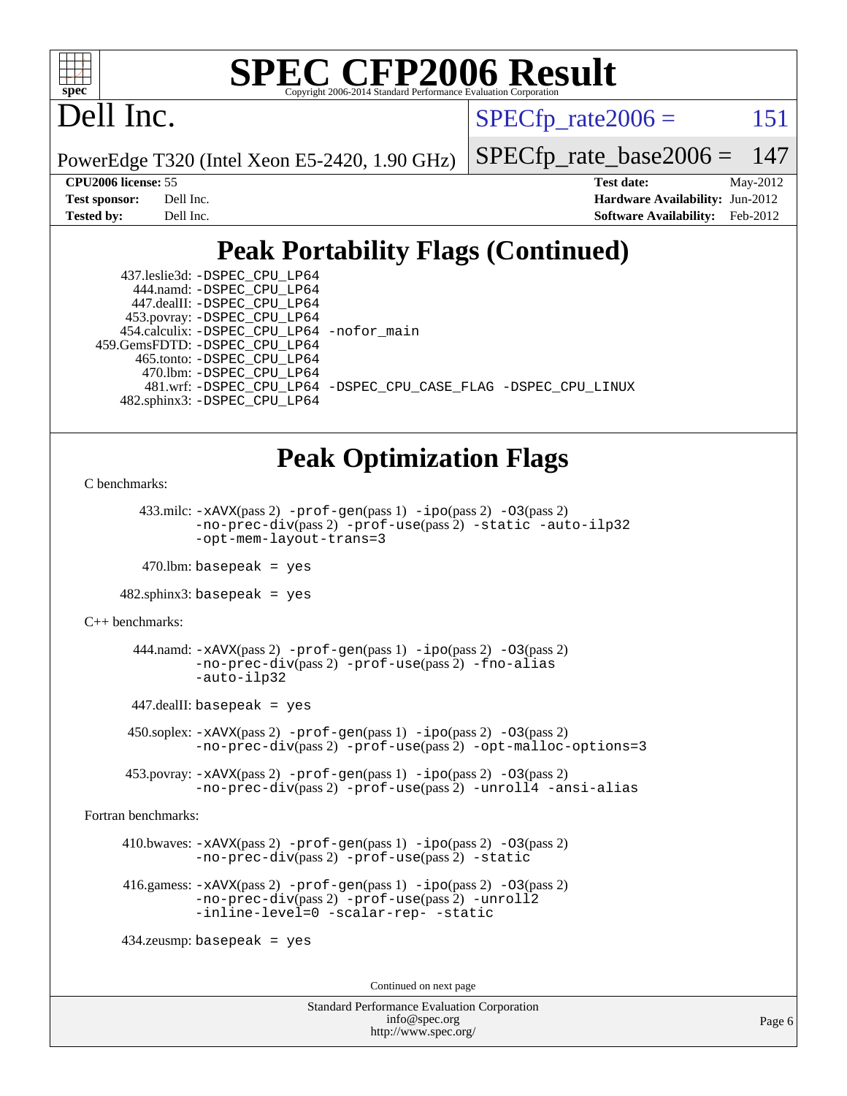

## Dell Inc.

 $SPECTp\_rate2006 = 151$ 

PowerEdge T320 (Intel Xeon E5-2420, 1.90 GHz)

[SPECfp\\_rate\\_base2006 =](http://www.spec.org/auto/cpu2006/Docs/result-fields.html#SPECfpratebase2006) 147

**[CPU2006 license:](http://www.spec.org/auto/cpu2006/Docs/result-fields.html#CPU2006license)** 55 **[Test date:](http://www.spec.org/auto/cpu2006/Docs/result-fields.html#Testdate)** May-2012 **[Test sponsor:](http://www.spec.org/auto/cpu2006/Docs/result-fields.html#Testsponsor)** Dell Inc. **[Hardware Availability:](http://www.spec.org/auto/cpu2006/Docs/result-fields.html#HardwareAvailability)** Jun-2012 **[Tested by:](http://www.spec.org/auto/cpu2006/Docs/result-fields.html#Testedby)** Dell Inc. **[Software Availability:](http://www.spec.org/auto/cpu2006/Docs/result-fields.html#SoftwareAvailability)** Feb-2012

### **[Peak Portability Flags \(Continued\)](http://www.spec.org/auto/cpu2006/Docs/result-fields.html#PeakPortabilityFlags)**

 437.leslie3d: [-DSPEC\\_CPU\\_LP64](http://www.spec.org/cpu2006/results/res2012q3/cpu2006-20120703-23472.flags.html#suite_peakPORTABILITY437_leslie3d_DSPEC_CPU_LP64) 444.namd: [-DSPEC\\_CPU\\_LP64](http://www.spec.org/cpu2006/results/res2012q3/cpu2006-20120703-23472.flags.html#suite_peakPORTABILITY444_namd_DSPEC_CPU_LP64) 447.dealII: [-DSPEC\\_CPU\\_LP64](http://www.spec.org/cpu2006/results/res2012q3/cpu2006-20120703-23472.flags.html#suite_peakPORTABILITY447_dealII_DSPEC_CPU_LP64) 453.povray: [-DSPEC\\_CPU\\_LP64](http://www.spec.org/cpu2006/results/res2012q3/cpu2006-20120703-23472.flags.html#suite_peakPORTABILITY453_povray_DSPEC_CPU_LP64) 454.calculix: [-DSPEC\\_CPU\\_LP64](http://www.spec.org/cpu2006/results/res2012q3/cpu2006-20120703-23472.flags.html#suite_peakPORTABILITY454_calculix_DSPEC_CPU_LP64) [-nofor\\_main](http://www.spec.org/cpu2006/results/res2012q3/cpu2006-20120703-23472.flags.html#user_peakLDPORTABILITY454_calculix_f-nofor_main) 459.GemsFDTD: [-DSPEC\\_CPU\\_LP64](http://www.spec.org/cpu2006/results/res2012q3/cpu2006-20120703-23472.flags.html#suite_peakPORTABILITY459_GemsFDTD_DSPEC_CPU_LP64) 465.tonto: [-DSPEC\\_CPU\\_LP64](http://www.spec.org/cpu2006/results/res2012q3/cpu2006-20120703-23472.flags.html#suite_peakPORTABILITY465_tonto_DSPEC_CPU_LP64) 470.lbm: [-DSPEC\\_CPU\\_LP64](http://www.spec.org/cpu2006/results/res2012q3/cpu2006-20120703-23472.flags.html#suite_peakPORTABILITY470_lbm_DSPEC_CPU_LP64) 481.wrf: [-DSPEC\\_CPU\\_LP64](http://www.spec.org/cpu2006/results/res2012q3/cpu2006-20120703-23472.flags.html#suite_peakPORTABILITY481_wrf_DSPEC_CPU_LP64) [-DSPEC\\_CPU\\_CASE\\_FLAG](http://www.spec.org/cpu2006/results/res2012q3/cpu2006-20120703-23472.flags.html#b481.wrf_peakCPORTABILITY_DSPEC_CPU_CASE_FLAG) [-DSPEC\\_CPU\\_LINUX](http://www.spec.org/cpu2006/results/res2012q3/cpu2006-20120703-23472.flags.html#b481.wrf_peakCPORTABILITY_DSPEC_CPU_LINUX) 482.sphinx3: [-DSPEC\\_CPU\\_LP64](http://www.spec.org/cpu2006/results/res2012q3/cpu2006-20120703-23472.flags.html#suite_peakPORTABILITY482_sphinx3_DSPEC_CPU_LP64)

#### **[Peak Optimization Flags](http://www.spec.org/auto/cpu2006/Docs/result-fields.html#PeakOptimizationFlags)**

[C benchmarks](http://www.spec.org/auto/cpu2006/Docs/result-fields.html#Cbenchmarks):

433.milc:  $-x$ AVX(pass 2)  $-p$ rof-gen(pass 1)  $-p$ ipo(pass 2)  $-03$ (pass 2) [-no-prec-div](http://www.spec.org/cpu2006/results/res2012q3/cpu2006-20120703-23472.flags.html#user_peakPASS2_CFLAGSPASS2_LDFLAGS433_milc_f-no-prec-div)(pass 2) [-prof-use](http://www.spec.org/cpu2006/results/res2012q3/cpu2006-20120703-23472.flags.html#user_peakPASS2_CFLAGSPASS2_LDFLAGS433_milc_prof_use_bccf7792157ff70d64e32fe3e1250b55)(pass 2) [-static](http://www.spec.org/cpu2006/results/res2012q3/cpu2006-20120703-23472.flags.html#user_peakOPTIMIZE433_milc_f-static) [-auto-ilp32](http://www.spec.org/cpu2006/results/res2012q3/cpu2006-20120703-23472.flags.html#user_peakCOPTIMIZE433_milc_f-auto-ilp32) [-opt-mem-layout-trans=3](http://www.spec.org/cpu2006/results/res2012q3/cpu2006-20120703-23472.flags.html#user_peakCOPTIMIZE433_milc_f-opt-mem-layout-trans_a7b82ad4bd7abf52556d4961a2ae94d5)

 $470$ .lbm: basepeak = yes

482.sphinx3: basepeak = yes

[C++ benchmarks:](http://www.spec.org/auto/cpu2006/Docs/result-fields.html#CXXbenchmarks)

444.namd:  $-xAVX(pass 2)$  $-xAVX(pass 2)$  [-prof-gen](http://www.spec.org/cpu2006/results/res2012q3/cpu2006-20120703-23472.flags.html#user_peakPASS1_CXXFLAGSPASS1_LDFLAGS444_namd_prof_gen_e43856698f6ca7b7e442dfd80e94a8fc)(pass 1) [-ipo](http://www.spec.org/cpu2006/results/res2012q3/cpu2006-20120703-23472.flags.html#user_peakPASS2_CXXFLAGSPASS2_LDFLAGS444_namd_f-ipo)(pass 2) [-O3](http://www.spec.org/cpu2006/results/res2012q3/cpu2006-20120703-23472.flags.html#user_peakPASS2_CXXFLAGSPASS2_LDFLAGS444_namd_f-O3)(pass 2) [-no-prec-div](http://www.spec.org/cpu2006/results/res2012q3/cpu2006-20120703-23472.flags.html#user_peakPASS2_CXXFLAGSPASS2_LDFLAGS444_namd_f-no-prec-div)(pass 2) [-prof-use](http://www.spec.org/cpu2006/results/res2012q3/cpu2006-20120703-23472.flags.html#user_peakPASS2_CXXFLAGSPASS2_LDFLAGS444_namd_prof_use_bccf7792157ff70d64e32fe3e1250b55)(pass 2) [-fno-alias](http://www.spec.org/cpu2006/results/res2012q3/cpu2006-20120703-23472.flags.html#user_peakCXXOPTIMIZE444_namd_f-no-alias_694e77f6c5a51e658e82ccff53a9e63a) [-auto-ilp32](http://www.spec.org/cpu2006/results/res2012q3/cpu2006-20120703-23472.flags.html#user_peakCXXOPTIMIZE444_namd_f-auto-ilp32)

447.dealII: basepeak = yes

 $450$ .soplex:  $-x$ AVX(pass 2)  $-p$ rof-gen(pass 1)  $-i$ po(pass 2)  $-03$ (pass 2) [-no-prec-div](http://www.spec.org/cpu2006/results/res2012q3/cpu2006-20120703-23472.flags.html#user_peakPASS2_CXXFLAGSPASS2_LDFLAGS450_soplex_f-no-prec-div)(pass 2) [-prof-use](http://www.spec.org/cpu2006/results/res2012q3/cpu2006-20120703-23472.flags.html#user_peakPASS2_CXXFLAGSPASS2_LDFLAGS450_soplex_prof_use_bccf7792157ff70d64e32fe3e1250b55)(pass 2) [-opt-malloc-options=3](http://www.spec.org/cpu2006/results/res2012q3/cpu2006-20120703-23472.flags.html#user_peakOPTIMIZE450_soplex_f-opt-malloc-options_13ab9b803cf986b4ee62f0a5998c2238)

 453.povray: [-xAVX](http://www.spec.org/cpu2006/results/res2012q3/cpu2006-20120703-23472.flags.html#user_peakPASS2_CXXFLAGSPASS2_LDFLAGS453_povray_f-xAVX)(pass 2) [-prof-gen](http://www.spec.org/cpu2006/results/res2012q3/cpu2006-20120703-23472.flags.html#user_peakPASS1_CXXFLAGSPASS1_LDFLAGS453_povray_prof_gen_e43856698f6ca7b7e442dfd80e94a8fc)(pass 1) [-ipo](http://www.spec.org/cpu2006/results/res2012q3/cpu2006-20120703-23472.flags.html#user_peakPASS2_CXXFLAGSPASS2_LDFLAGS453_povray_f-ipo)(pass 2) [-O3](http://www.spec.org/cpu2006/results/res2012q3/cpu2006-20120703-23472.flags.html#user_peakPASS2_CXXFLAGSPASS2_LDFLAGS453_povray_f-O3)(pass 2) [-no-prec-div](http://www.spec.org/cpu2006/results/res2012q3/cpu2006-20120703-23472.flags.html#user_peakPASS2_CXXFLAGSPASS2_LDFLAGS453_povray_f-no-prec-div)(pass 2) [-prof-use](http://www.spec.org/cpu2006/results/res2012q3/cpu2006-20120703-23472.flags.html#user_peakPASS2_CXXFLAGSPASS2_LDFLAGS453_povray_prof_use_bccf7792157ff70d64e32fe3e1250b55)(pass 2) [-unroll4](http://www.spec.org/cpu2006/results/res2012q3/cpu2006-20120703-23472.flags.html#user_peakCXXOPTIMIZE453_povray_f-unroll_4e5e4ed65b7fd20bdcd365bec371b81f) [-ansi-alias](http://www.spec.org/cpu2006/results/res2012q3/cpu2006-20120703-23472.flags.html#user_peakCXXOPTIMIZE453_povray_f-ansi-alias)

[Fortran benchmarks](http://www.spec.org/auto/cpu2006/Docs/result-fields.html#Fortranbenchmarks):

 410.bwaves: [-xAVX](http://www.spec.org/cpu2006/results/res2012q3/cpu2006-20120703-23472.flags.html#user_peakPASS2_FFLAGSPASS2_LDFLAGS410_bwaves_f-xAVX)(pass 2) [-prof-gen](http://www.spec.org/cpu2006/results/res2012q3/cpu2006-20120703-23472.flags.html#user_peakPASS1_FFLAGSPASS1_LDFLAGS410_bwaves_prof_gen_e43856698f6ca7b7e442dfd80e94a8fc)(pass 1) [-ipo](http://www.spec.org/cpu2006/results/res2012q3/cpu2006-20120703-23472.flags.html#user_peakPASS2_FFLAGSPASS2_LDFLAGS410_bwaves_f-ipo)(pass 2) [-O3](http://www.spec.org/cpu2006/results/res2012q3/cpu2006-20120703-23472.flags.html#user_peakPASS2_FFLAGSPASS2_LDFLAGS410_bwaves_f-O3)(pass 2) [-no-prec-div](http://www.spec.org/cpu2006/results/res2012q3/cpu2006-20120703-23472.flags.html#user_peakPASS2_FFLAGSPASS2_LDFLAGS410_bwaves_f-no-prec-div)(pass 2) [-prof-use](http://www.spec.org/cpu2006/results/res2012q3/cpu2006-20120703-23472.flags.html#user_peakPASS2_FFLAGSPASS2_LDFLAGS410_bwaves_prof_use_bccf7792157ff70d64e32fe3e1250b55)(pass 2) [-static](http://www.spec.org/cpu2006/results/res2012q3/cpu2006-20120703-23472.flags.html#user_peakOPTIMIZE410_bwaves_f-static)

 416.gamess: [-xAVX](http://www.spec.org/cpu2006/results/res2012q3/cpu2006-20120703-23472.flags.html#user_peakPASS2_FFLAGSPASS2_LDFLAGS416_gamess_f-xAVX)(pass 2) [-prof-gen](http://www.spec.org/cpu2006/results/res2012q3/cpu2006-20120703-23472.flags.html#user_peakPASS1_FFLAGSPASS1_LDFLAGS416_gamess_prof_gen_e43856698f6ca7b7e442dfd80e94a8fc)(pass 1) [-ipo](http://www.spec.org/cpu2006/results/res2012q3/cpu2006-20120703-23472.flags.html#user_peakPASS2_FFLAGSPASS2_LDFLAGS416_gamess_f-ipo)(pass 2) [-O3](http://www.spec.org/cpu2006/results/res2012q3/cpu2006-20120703-23472.flags.html#user_peakPASS2_FFLAGSPASS2_LDFLAGS416_gamess_f-O3)(pass 2) [-no-prec-div](http://www.spec.org/cpu2006/results/res2012q3/cpu2006-20120703-23472.flags.html#user_peakPASS2_FFLAGSPASS2_LDFLAGS416_gamess_f-no-prec-div)(pass 2) [-prof-use](http://www.spec.org/cpu2006/results/res2012q3/cpu2006-20120703-23472.flags.html#user_peakPASS2_FFLAGSPASS2_LDFLAGS416_gamess_prof_use_bccf7792157ff70d64e32fe3e1250b55)(pass 2) [-unroll2](http://www.spec.org/cpu2006/results/res2012q3/cpu2006-20120703-23472.flags.html#user_peakOPTIMIZE416_gamess_f-unroll_784dae83bebfb236979b41d2422d7ec2) [-inline-level=0](http://www.spec.org/cpu2006/results/res2012q3/cpu2006-20120703-23472.flags.html#user_peakOPTIMIZE416_gamess_f-inline-level_318d07a09274ad25e8d15dbfaa68ba50) [-scalar-rep-](http://www.spec.org/cpu2006/results/res2012q3/cpu2006-20120703-23472.flags.html#user_peakOPTIMIZE416_gamess_f-disablescalarrep_abbcad04450fb118e4809c81d83c8a1d) [-static](http://www.spec.org/cpu2006/results/res2012q3/cpu2006-20120703-23472.flags.html#user_peakOPTIMIZE416_gamess_f-static)

434.zeusmp: basepeak = yes

Continued on next page

Standard Performance Evaluation Corporation [info@spec.org](mailto:info@spec.org) <http://www.spec.org/>